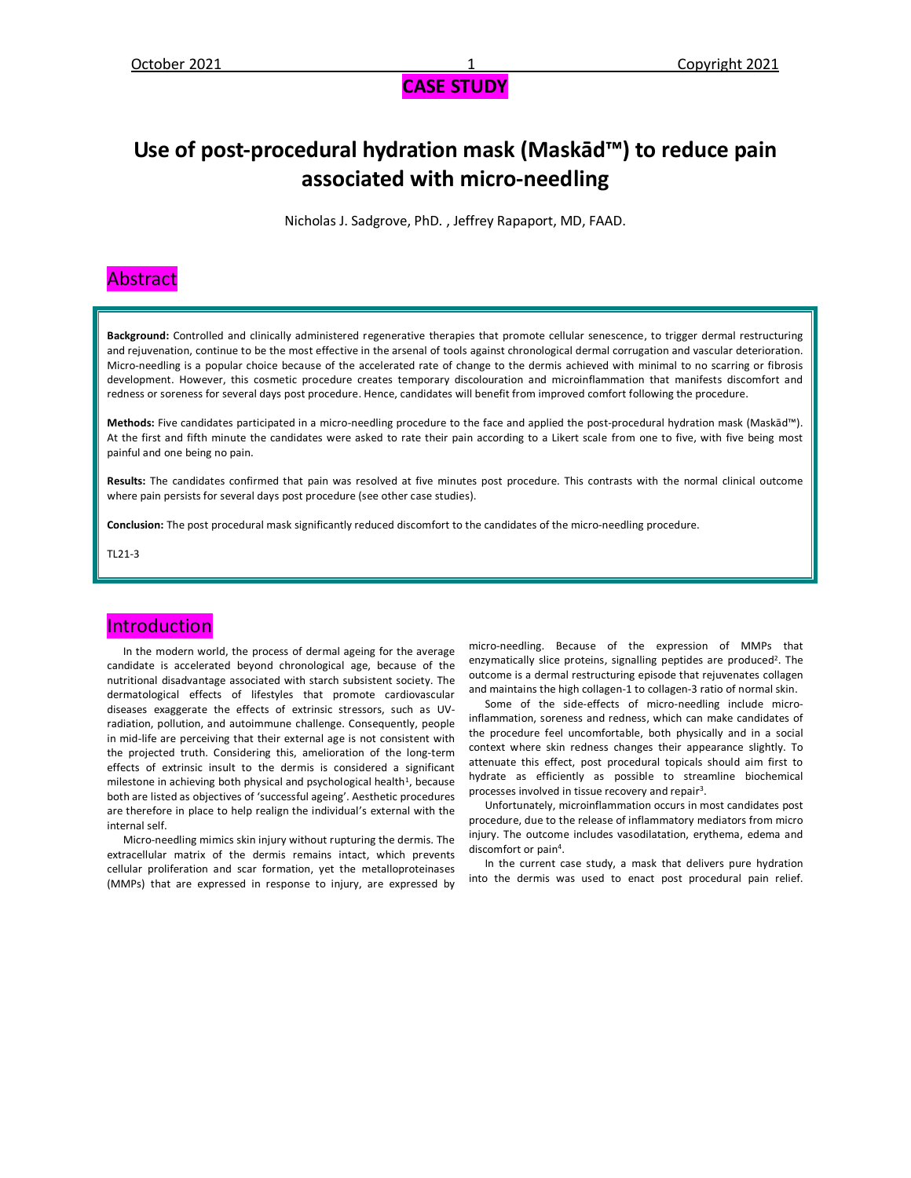## **Use of post-procedural hydration mask (Maskād™) to reduce pain associated with micro-needling**

Nicholas J. Sadgrove, PhD. , Jeffrey Rapaport, MD, FAAD.

#### Abstract

**Background:** Controlled and clinically administered regenerative therapies that promote cellular senescence, to trigger dermal restructuring and rejuvenation, continue to be the most effective in the arsenal of tools against chronological dermal corrugation and vascular deterioration. Micro-needling is a popular choice because of the accelerated rate of change to the dermis achieved with minimal to no scarring or fibrosis development. However, this cosmetic procedure creates temporary discolouration and microinflammation that manifests discomfort and redness or soreness for several days post procedure. Hence, candidates will benefit from improved comfort following the procedure.

**Methods:** Five candidates participated in a micro-needling procedure to the face and applied the post-procedural hydration mask (Maskād™). At the first and fifth minute the candidates were asked to rate their pain according to a Likert scale from one to five, with five being most painful and one being no pain.

**Results:** The candidates confirmed that pain was resolved at five minutes post procedure. This contrasts with the normal clinical outcome where pain persists for several days post procedure (see other case studies).

**Conclusion:** The post procedural mask significantly reduced discomfort to the candidates of the micro-needling procedure.

TL21-3

#### **Introduction**

 In the modern world, the process of dermal ageing for the average candidate is accelerated beyond chronological age, because of the nutritional disadvantage associated with starch subsistent society. The dermatological effects of lifestyles that promote cardiovascular diseases exaggerate the effects of extrinsic stressors, such as UVradiation, pollution, and autoimmune challenge. Consequently, people in mid-life are perceiving that their external age is not consistent with the projected truth. Considering this, amelioration of the long-term effects of extrinsic insult to the dermis is considered a significant milestone in achieving both physical and psychological health<sup>1</sup>, because both are listed as objectives of 'successful ageing'. Aesthetic procedures are therefore in place to help realign the individual's external with the internal self.

 Micro-needling mimics skin injury without rupturing the dermis. The extracellular matrix of the dermis remains intact, which prevents cellular proliferation and scar formation, yet the metalloproteinases (MMPs) that are expressed in response to injury, are expressed by micro-needling. Because of the expression of MMPs that enzymatically slice proteins, signalling peptides are produced<sup>2</sup>. The outcome is a dermal restructuring episode that rejuvenates collagen and maintains the high collagen-1 to collagen-3 ratio of normal skin.

 Some of the side-effects of micro-needling include microinflammation, soreness and redness, which can make candidates of the procedure feel uncomfortable, both physically and in a social context where skin redness changes their appearance slightly. To attenuate this effect, post procedural topicals should aim first to hydrate as efficiently as possible to streamline biochemical processes involved in tissue recovery and repair<sup>3</sup>.

 Unfortunately, microinflammation occurs in most candidates post procedure, due to the release of inflammatory mediators from micro injury. The outcome includes vasodilatation, erythema, edema and discomfort or pain<sup>4</sup>.

 In the current case study, a mask that delivers pure hydration into the dermis was used to enact post procedural pain relief.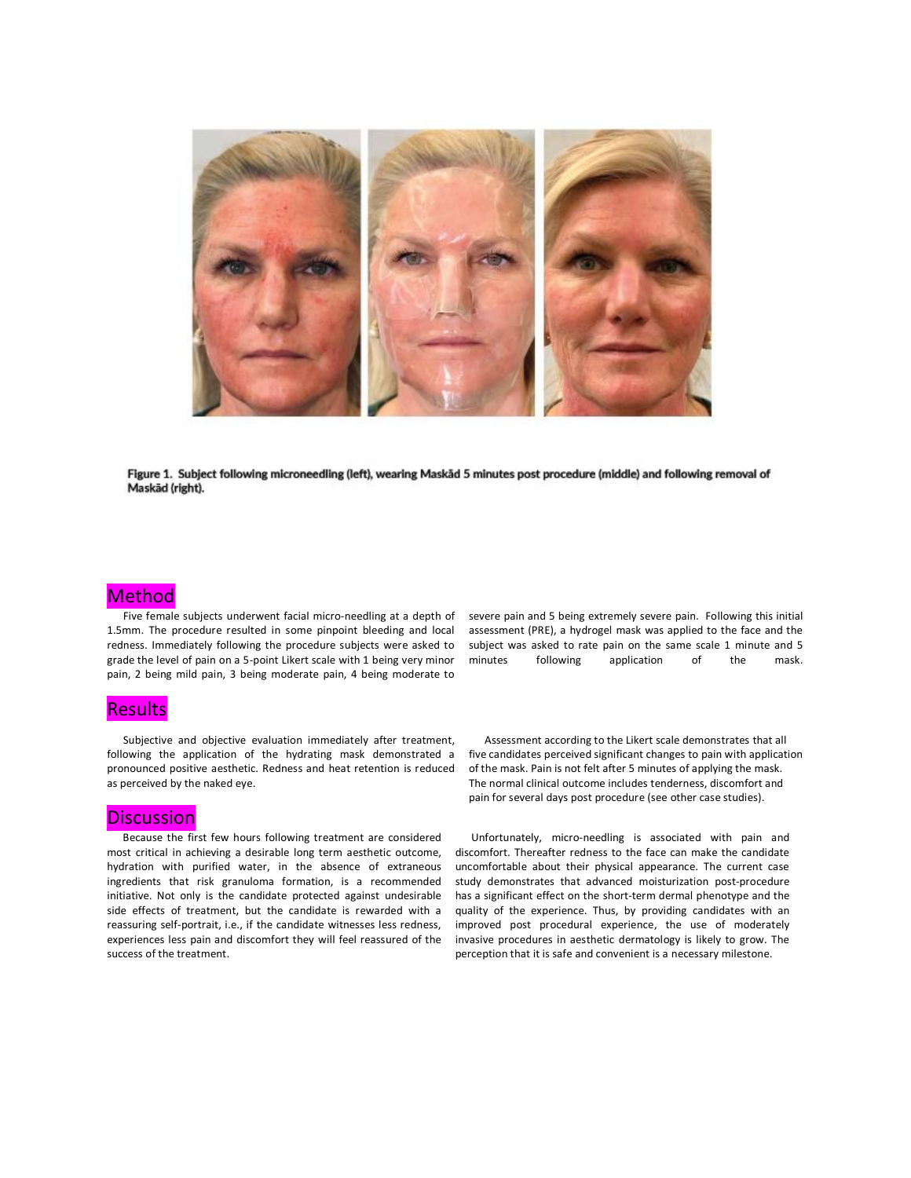

Figure 1. Subject following microneedling (left), wearing Maskād 5 minutes post procedure (middle) and following removal of Maskād (right).

#### Method

 Five female subjects underwent facial micro-needling at a depth of 1.5mm. The procedure resulted in some pinpoint bleeding and local redness. Immediately following the procedure subjects were asked to grade the level of pain on a 5-point Likert scale with 1 being very minor pain, 2 being mild pain, 3 being moderate pain, 4 being moderate to

#### **Results**

 Subjective and objective evaluation immediately after treatment, following the application of the hydrating mask demonstrated a pronounced positive aesthetic. Redness and heat retention is reduced as perceived by the naked eye.

#### **Discussion**

 Because the first few hours following treatment are considered most critical in achieving a desirable long term aesthetic outcome, hydration with purified water, in the absence of extraneous ingredients that risk granuloma formation, is a recommended initiative. Not only is the candidate protected against undesirable side effects of treatment, but the candidate is rewarded with a reassuring self-portrait, i.e., if the candidate witnesses less redness, experiences less pain and discomfort they will feel reassured of the success of the treatment.

severe pain and 5 being extremely severe pain. Following this initial assessment (PRE), a hydrogel mask was applied to the face and the subject was asked to rate pain on the same scale 1 minute and 5 minutes following application of the mask.

 Assessment according to the Likert scale demonstrates that all five candidates perceived significant changes to pain with application of the mask. Pain is not felt after 5 minutes of applying the mask. The normal clinical outcome includes tenderness, discomfort and pain for several days post procedure (see other case studies).

 Unfortunately, micro-needling is associated with pain and discomfort. Thereafter redness to the face can make the candidate uncomfortable about their physical appearance. The current case study demonstrates that advanced moisturization post-procedure has a significant effect on the short-term dermal phenotype and the quality of the experience. Thus, by providing candidates with an improved post procedural experience, the use of moderately invasive procedures in aesthetic dermatology is likely to grow. The perception that it is safe and convenient is a necessary milestone.